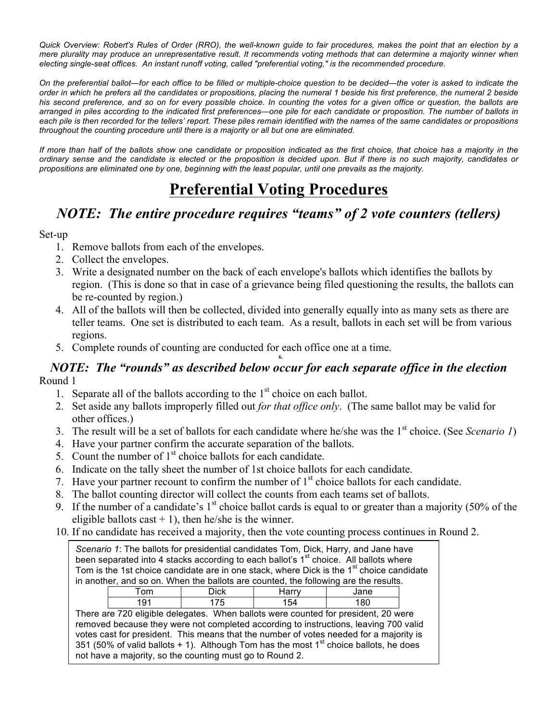*Quick Overview: Robert's Rules of Order (RRO), the well-known guide to fair procedures, makes the point that an election by a mere plurality may produce an unrepresentative result. It recommends voting methods that can determine a majority winner when electing single-seat offices. An instant runoff voting, called "preferential voting," is the recommended procedure.*

*On the preferential ballot—for each office to be filled or multiple-choice question to be decided—the voter is asked to indicate the order in which he prefers all the candidates or propositions, placing the numeral 1 beside his first preference, the numeral 2 beside his second preference, and so on for every possible choice. In counting the votes for a given office or question, the ballots are arranged in piles according to the indicated first preferences—one pile for each candidate or proposition. The number of ballots in each pile is then recorded for the tellers' report. These piles remain identified with the names of the same candidates or propositions throughout the counting procedure until there is a majority or all but one are eliminated.*

*If more than half of the ballots show one candidate or proposition indicated as the first choice, that choice has a majority in the ordinary sense and the candidate is elected or the proposition is decided upon. But if there is no such majority, candidates or propositions are eliminated one by one, beginning with the least popular, until one prevails as the majority.*

# **Preferential Voting Procedures**

## *NOTE: The entire procedure requires "teams" of 2 vote counters (tellers)*

#### Set-up

- 1. Remove ballots from each of the envelopes.
- 2. Collect the envelopes.
- 3. Write a designated number on the back of each envelope's ballots which identifies the ballots by region. (This is done so that in case of a grievance being filed questioning the results, the ballots can be re-counted by region.)
- 4. All of the ballots will then be collected, divided into generally equally into as many sets as there are teller teams. One set is distributed to each team. As a result, ballots in each set will be from various regions.
- 5. Complete rounds of counting are conducted for each office one at a time.

### *NOTE: The "rounds" as described below occur for each separate office in the election* Round 1

**6.**

- 1. Separate all of the ballots according to the  $1<sup>st</sup>$  choice on each ballot.
- 2. Set aside any ballots improperly filled out *for that office only*. (The same ballot may be valid for other offices.)
- 3. The result will be a set of ballots for each candidate where he/she was the 1st choice. (See *Scenario 1*)
- 4. Have your partner confirm the accurate separation of the ballots.
- 5. Count the number of  $1<sup>st</sup>$  choice ballots for each candidate.
- 6. Indicate on the tally sheet the number of 1st choice ballots for each candidate.
- 7. Have your partner recount to confirm the number of  $1<sup>st</sup>$  choice ballots for each candidate.
- 8. The ballot counting director will collect the counts from each teams set of ballots.
- 9. If the number of a candidate's  $1<sup>st</sup>$  choice ballot cards is equal to or greater than a majority (50% of the eligible ballots cast  $+ 1$ ), then he/she is the winner.
- 10. If no candidate has received a majority, then the vote counting process continues in Round 2.

| Scenario 1: The ballots for presidential candidates Tom, Dick, Harry, and Jane have<br>been separated into 4 stacks according to each ballot's 1 <sup>st</sup> choice. All ballots where<br>Tom is the 1st choice candidate are in one stack, where Dick is the 1 <sup>st</sup> choice candidate<br>in another, and so on. When the ballots are counted, the following are the results. |                                                                                                                                                                                                                                                                                                                                                                                                                             |       |      |  |  |
|-----------------------------------------------------------------------------------------------------------------------------------------------------------------------------------------------------------------------------------------------------------------------------------------------------------------------------------------------------------------------------------------|-----------------------------------------------------------------------------------------------------------------------------------------------------------------------------------------------------------------------------------------------------------------------------------------------------------------------------------------------------------------------------------------------------------------------------|-------|------|--|--|
| Tom                                                                                                                                                                                                                                                                                                                                                                                     | <b>Dick</b>                                                                                                                                                                                                                                                                                                                                                                                                                 | Harrv | Jane |  |  |
| 191                                                                                                                                                                                                                                                                                                                                                                                     | 175                                                                                                                                                                                                                                                                                                                                                                                                                         | 154   | 180  |  |  |
|                                                                                                                                                                                                                                                                                                                                                                                         | There are 720 eligible delegates. When ballots were counted for president, 20 were<br>removed because they were not completed according to instructions, leaving 700 valid<br>votes cast for president. This means that the number of votes needed for a majority is<br>351 (50% of valid ballots + 1). Although Tom has the most $1st$ choice ballots, he does<br>not have a majority, so the counting must go to Round 2. |       |      |  |  |